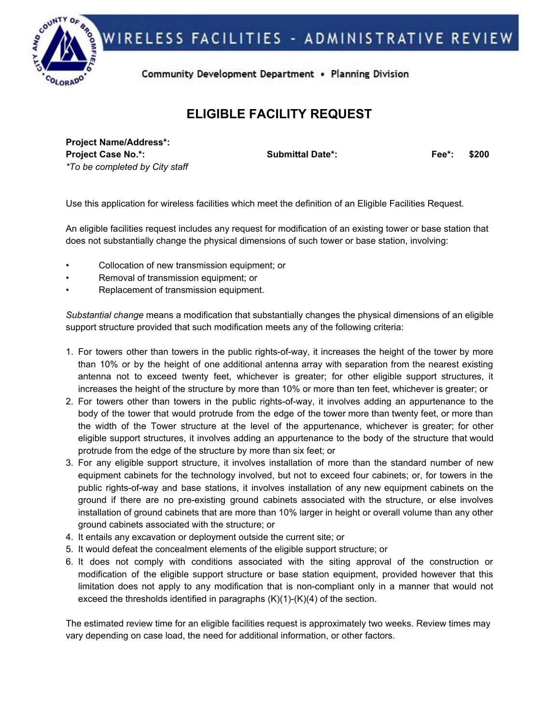

## **ELIGIBLE FACILITY REQUEST**

**Project Name/Address\*: Project Case No.\*: Submittal Date\*: Fee\*: \$200** *\*To be completed by City staff*

Use this application for wireless facilities which meet the definition of an Eligible Facilities Request.

An eligible facilities request includes any request for modification of an existing tower or base station that does not substantially change the physical dimensions of such tower or base station, involving:

- Collocation of new transmission equipment; or
- Removal of transmission equipment; or
- Replacement of transmission equipment.

*Substantial change* means a modification that substantially changes the physical dimensions of an eligible support structure provided that such modification meets any of the following criteria:

- 1. For towers other than towers in the public rights-of-way, it increases the height of the tower by more than 10% or by the height of one additional antenna array with separation from the nearest existing antenna not to exceed twenty feet, whichever is greater; for other eligible support structures, it increases the height of the structure by more than 10% or more than ten feet, whichever is greater; or
- 2. For towers other than towers in the public rights-of-way, it involves adding an appurtenance to the body of the tower that would protrude from the edge of the tower more than twenty feet, or more than the width of the Tower structure at the level of the appurtenance, whichever is greater; for other eligible support structures, it involves adding an appurtenance to the body of the structure that would protrude from the edge of the structure by more than six feet; or
- 3. For any eligible support structure, it involves installation of more than the standard number of new equipment cabinets for the technology involved, but not to exceed four cabinets; or, for towers in the public rights-of-way and base stations, it involves installation of any new equipment cabinets on the ground if there are no pre-existing ground cabinets associated with the structure, or else involves installation of ground cabinets that are more than 10% larger in height or overall volume than any other ground cabinets associated with the structure; or
- 4. It entails any excavation or deployment outside the current site; or
- 5. It would defeat the concealment elements of the eligible support structure; or
- 6. It does not comply with conditions associated with the siting approval of the construction or modification of the eligible support structure or base station equipment, provided however that this limitation does not apply to any modification that is non-compliant only in a manner that would not exceed the thresholds identified in paragraphs (K)(1)-(K)(4) of the section.

The estimated review time for an eligible facilities request is approximately two weeks. Review times may vary depending on case load, the need for additional information, or other factors.